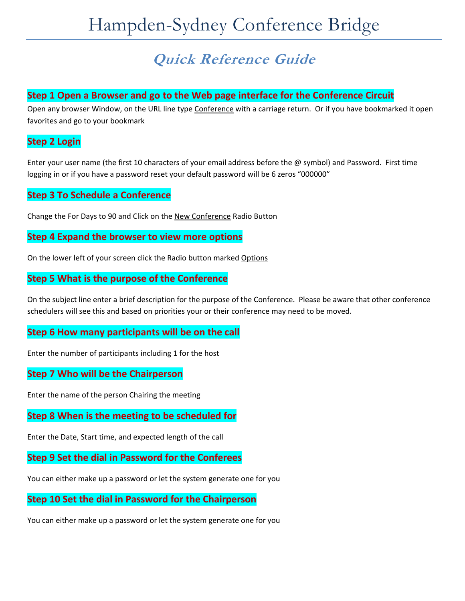# **Quick Reference Guide**

## **Step 1 Open a Browser and go to the Web page interface for the Conference Circuit**

Open any browser Window, on the URL line type Conference with a carriage return. Or if you have bookmarked it open favorites and go to your bookmark

## **Step 2 Login**

Enter your user name (the first 10 characters of your email address before the @ symbol) and Password. First time logging in or if you have a password reset your default password will be 6 zeros "000000"

## **Step 3 To Schedule a Conference**

Change the For Days to 90 and Click on the New Conference Radio Button

#### **Step 4 Expand the browser to view more options**

On the lower left of your screen click the Radio button marked Options

## **Step 5 What is the purpose of the Conference**

On the subject line enter a brief description for the purpose of the Conference. Please be aware that other conference schedulers will see this and based on priorities your or their conference may need to be moved.

## **Step 6 How many participants will be on the call**

Enter the number of participants including 1 for the host

#### **Step 7 Who will be the Chairperson**

Enter the name of the person Chairing the meeting

## **Step 8 When is the meeting to be scheduled for**

Enter the Date, Start time, and expected length of the call

## **Step 9 Set the dial in Password for the Conferees**

You can either make up a password or let the system generate one for you

#### **Step 10 Set the dial in Password for the Chairperson**

You can either make up a password or let the system generate one for you